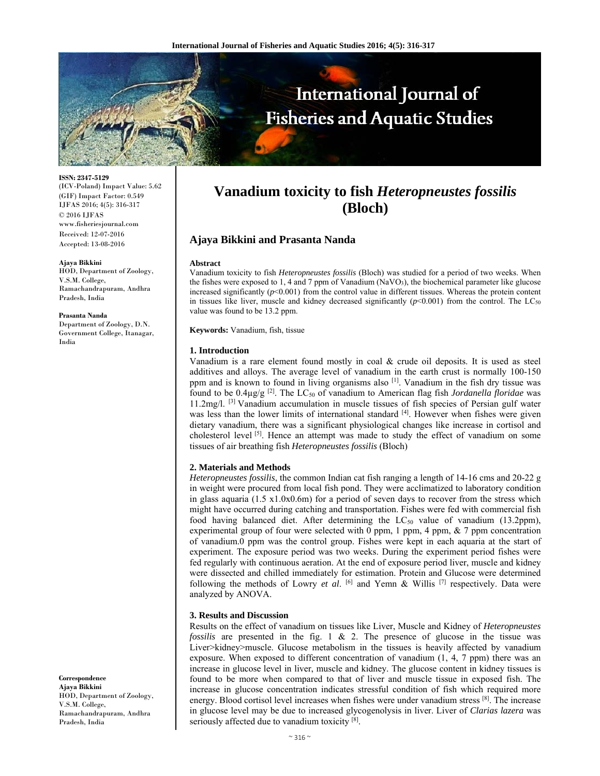

**ISSN: 2347-5129** 

(ICV-Poland) Impact Value: 5.62 (GIF) Impact Factor: 0.549 IJFAS 2016; 4(5): 316-317 © 2016 IJFAS www.fisheriesjournal.com Received: 12-07-2016 Accepted: 13-08-2016

#### **Ajaya Bikkini**

HOD, Department of Zoology, V.S.M. College, Ramachandrapuram, Andhra Pradesh, India

**Prasanta Nanda** 

Department of Zoology, D.N. Government College, Itanagar, India

**Correspondence Ajaya Bikkini** 

HOD, Department of Zoology, V.S.M. College, Ramachandrapuram, Andhra Pradesh, India

# **Vanadium toxicity to fish** *Heteropneustes fossilis*  **(Bloch)**

## **Ajaya Bikkini and Prasanta Nanda**

#### **Abstract**

Vanadium toxicity to fish *Heteropneustes fossilis* (Bloch) was studied for a period of two weeks. When the fishes were exposed to 1, 4 and 7 ppm of Vanadium (NaVO3), the biochemical parameter like glucose increased significantly  $(p<0.001)$  from the control value in different tissues. Whereas the protein content in tissues like liver, muscle and kidney decreased significantly  $(p<0.001)$  from the control. The LC<sub>50</sub> value was found to be 13.2 ppm.

**Keywords:** Vanadium, fish, tissue

#### **1. Introduction**

Vanadium is a rare element found mostly in coal  $\&$  crude oil deposits. It is used as steel additives and alloys. The average level of vanadium in the earth crust is normally 100-150 ppm and is known to found in living organisms also [1]. Vanadium in the fish dry tissue was found to be 0.4µg/g [2]. The LC50 of vanadium to American flag fish *Jordanella floridae* was 11.2mg/l. [3] Vanadium accumulation in muscle tissues of fish species of Persian gulf water was less than the lower limits of international standard <sup>[4]</sup>. However when fishes were given dietary vanadium, there was a significant physiological changes like increase in cortisol and cholesterol level [5]. Hence an attempt was made to study the effect of vanadium on some tissues of air breathing fish *Heteropneustes fossilis* (Bloch)

### **2. Materials and Methods**

*Heteropneustes fossilis*, the common Indian cat fish ranging a length of 14-16 cms and 20-22 g in weight were procured from local fish pond. They were acclimatized to laboratory condition in glass aquaria  $(1.5 \text{ x}1.0 \text{x}0.6 \text{m})$  for a period of seven days to recover from the stress which might have occurred during catching and transportation. Fishes were fed with commercial fish food having balanced diet. After determining the  $LC_{50}$  value of vanadium (13.2ppm), experimental group of four were selected with 0 ppm, 1 ppm, 4 ppm,  $\&$  7 ppm concentration of vanadium.0 ppm was the control group. Fishes were kept in each aquaria at the start of experiment. The exposure period was two weeks. During the experiment period fishes were fed regularly with continuous aeration. At the end of exposure period liver, muscle and kidney were dissected and chilled immediately for estimation. Protein and Glucose were determined following the methods of Lowry *et al*. [6] and Yemn & Willis [7] respectively. Data were analyzed by ANOVA.

#### **3. Results and Discussion**

Results on the effect of vanadium on tissues like Liver, Muscle and Kidney of *Heteropneustes fossilis* are presented in the fig. 1 & 2. The presence of glucose in the tissue was Liver>kidney>muscle. Glucose metabolism in the tissues is heavily affected by vanadium exposure. When exposed to different concentration of vanadium (1, 4, 7 ppm) there was an increase in glucose level in liver, muscle and kidney. The glucose content in kidney tissues is found to be more when compared to that of liver and muscle tissue in exposed fish. The increase in glucose concentration indicates stressful condition of fish which required more energy. Blood cortisol level increases when fishes were under vanadium stress <sup>[8]</sup>. The increase in glucose level may be due to increased glycogenolysis in liver. Liver of *Clarias lazera* was seriously affected due to vanadium toxicity [8].